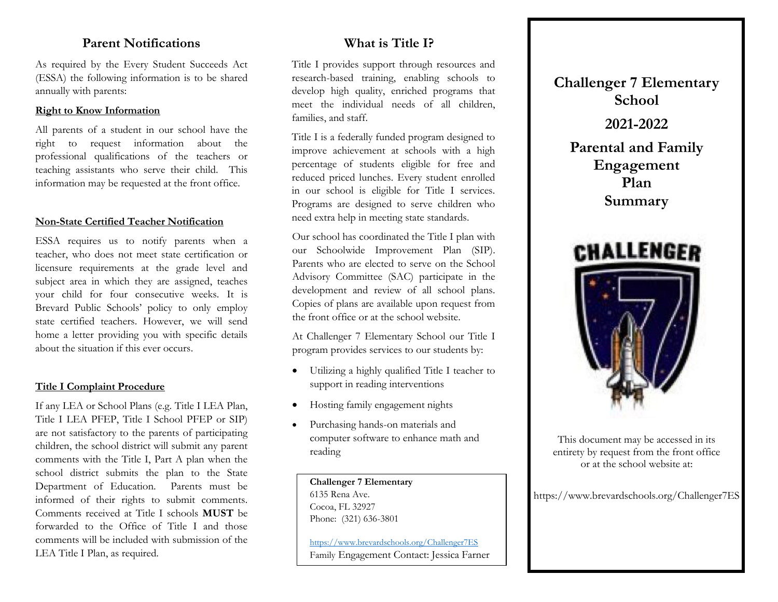## **Parent Notifications**

As required by the Every Student Succeeds Act (ESSA) the following information is to be shared annually with parents:

#### **Right to Know Information**

All parents of a student in our school have the right to request information about the professional qualifications of the teachers or teaching assistants who serve their child. This information may be requested at the front office.

#### **Non-State Certified Teacher Notification**

ESSA requires us to notify parents when a teacher, who does not meet state certification or licensure requirements at the grade level and subject area in which they are assigned, teaches your child for four consecutive weeks. It is Brevard Public Schools' policy to only employ state certified teachers. However, we will send home a letter providing you with specific details about the situation if this ever occurs.

#### **Title I Complaint Procedure**

If any LEA or School Plans (e.g. Title I LEA Plan, Title I LEA PFEP, Title I School PFEP or SIP) are not satisfactory to the parents of participating children, the school district will submit any parent comments with the Title I, Part A plan when the school district submits the plan to the State Department of Education. Parents must be informed of their rights to submit comments. Comments received at Title I schools **MUST** be forwarded to the Office of Title I and those comments will be included with submission of the LEA Title I Plan, as required.

## **What is Title I?**

Title I provides support through resources and research-based training, enabling schools to develop high quality, enriched programs that meet the individual needs of all children, families, and staff.

Title I is a federally funded program designed to improve achievement at schools with a high percentage of students eligible for free and reduced priced lunches. Every student enrolled in our school is eligible for Title I services. Programs are designed to serve children who need extra help in meeting state standards.

Our school has coordinated the Title I plan with our Schoolwide Improvement Plan (SIP). Parents who are elected to serve on the School Advisory Committee (SAC) participate in the development and review of all school plans. Copies of plans are available upon request from the front office or at the school website.

At Challenger 7 Elementary School our Title I program provides services to our students by:

- Utilizing a highly qualified Title I teacher to support in reading interventions
- Hosting family engagement nights
- Purchasing hands-on materials and computer software to enhance math and reading

#### **Challenger 7 Elementary** 6135 Rena Ave.

Cocoa, FL 32927 Phone: (321) 636-3801

<https://www.brevardschools.org/Challenger7ES> Family Engagement Contact: Jessica Farner **Challenger 7 Elementary School 2021-2022 Parental and Family Engagement Plan Summary**



This document may be accessed in its entirety by request from the front office or at the school website at:

https://www.brevardschools.org/Challenger7ES